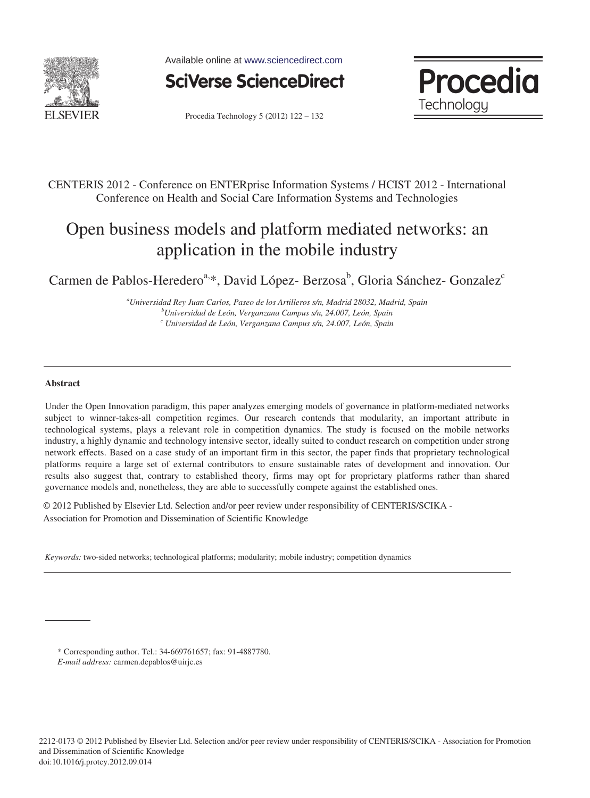

Available online at www.sciencedirect.com



Procedia Technology 5 (2012) 122 - 132



### CENTERIS 2012 - Conference on ENTERprise Information Systems / HCIST 2012 - International Conference on Health and Social Care Information Systems and Technologies

# Open business models and platform mediated networks: an application in the mobile industry

Carmen de Pablos-Heredero<sup>a, \*</sup>, David López- Berzosa<sup>b</sup>, Gloria Sánchez- Gonzalez<sup>c</sup>

*a Universidad Rey Juan Carlos, Paseo de los Artilleros s/n, Madrid 28032, Madrid, Spain b Universidad de León, Verganzana Campus s/n, 24.007, León, Spain c Universidad de León, Verganzana Campus s/n, 24.007, León, Spain* 

### **Abstract**

Under the Open Innovation paradigm, this paper analyzes emerging models of governance in platform-mediated networks subject to winner-takes-all competition regimes. Our research contends that modularity, an important attribute in technological systems, plays a relevant role in competition dynamics. The study is focused on the mobile networks industry, a highly dynamic and technology intensive sector, ideally suited to conduct research on competition under strong network effects. Based on a case study of an important firm in this sector, the paper finds that proprietary technological platforms require a large set of external contributors to ensure sustainable rates of development and innovation. Our results also suggest that, contrary to established theory, firms may opt for proprietary platforms rather than shared governance models and, nonetheless, they are able to successfully compete against the established ones.

© 2012 Published by Elsevier Ltd. Selection and/or peer-review under responsibility of © 2012 Published by Elsevier Ltd. Selection and/or peer review under responsibility of CENTERIS/SCIKA - Association for Promotion and Dissemination of Scientific Knowledge

*Keywords:* two-sided networks; technological platforms; modularity; mobile industry; competition dynamics

\* Corresponding author. Tel.: 34-669761657; fax: 91-4887780.

*E-mail address:* carmen.depablos@uirjc.es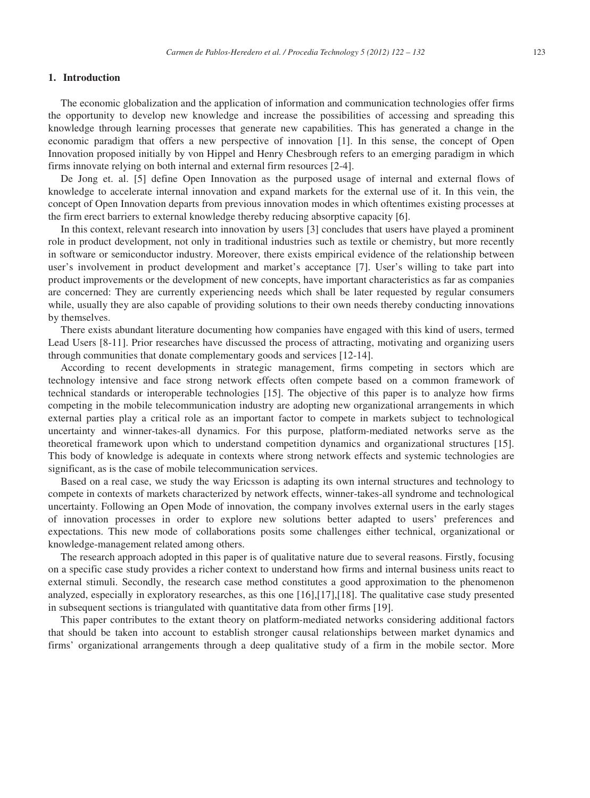#### **1. Introduction**

The economic globalization and the application of information and communication technologies offer firms the opportunity to develop new knowledge and increase the possibilities of accessing and spreading this knowledge through learning processes that generate new capabilities. This has generated a change in the economic paradigm that offers a new perspective of innovation [1]. In this sense, the concept of Open Innovation proposed initially by von Hippel and Henry Chesbrough refers to an emerging paradigm in which firms innovate relying on both internal and external firm resources [2-4].

De Jong et. al. [5] define Open Innovation as the purposed usage of internal and external flows of knowledge to accelerate internal innovation and expand markets for the external use of it. In this vein, the concept of Open Innovation departs from previous innovation modes in which oftentimes existing processes at the firm erect barriers to external knowledge thereby reducing absorptive capacity [6].

In this context, relevant research into innovation by users [3] concludes that users have played a prominent role in product development, not only in traditional industries such as textile or chemistry, but more recently in software or semiconductor industry. Moreover, there exists empirical evidence of the relationship between user's involvement in product development and market's acceptance [7]. User's willing to take part into product improvements or the development of new concepts, have important characteristics as far as companies are concerned: They are currently experiencing needs which shall be later requested by regular consumers while, usually they are also capable of providing solutions to their own needs thereby conducting innovations by themselves.

There exists abundant literature documenting how companies have engaged with this kind of users, termed Lead Users [8-11]. Prior researches have discussed the process of attracting, motivating and organizing users through communities that donate complementary goods and services [12-14].

According to recent developments in strategic management, firms competing in sectors which are technology intensive and face strong network effects often compete based on a common framework of technical standards or interoperable technologies [15]. The objective of this paper is to analyze how firms competing in the mobile telecommunication industry are adopting new organizational arrangements in which external parties play a critical role as an important factor to compete in markets subject to technological uncertainty and winner-takes-all dynamics. For this purpose, platform-mediated networks serve as the theoretical framework upon which to understand competition dynamics and organizational structures [15]. This body of knowledge is adequate in contexts where strong network effects and systemic technologies are significant, as is the case of mobile telecommunication services.

Based on a real case, we study the way Ericsson is adapting its own internal structures and technology to compete in contexts of markets characterized by network effects, winner-takes-all syndrome and technological uncertainty. Following an Open Mode of innovation, the company involves external users in the early stages of innovation processes in order to explore new solutions better adapted to users' preferences and expectations. This new mode of collaborations posits some challenges either technical, organizational or knowledge-management related among others.

The research approach adopted in this paper is of qualitative nature due to several reasons. Firstly, focusing on a specific case study provides a richer context to understand how firms and internal business units react to external stimuli. Secondly, the research case method constitutes a good approximation to the phenomenon analyzed, especially in exploratory researches, as this one [16],[17],[18]. The qualitative case study presented in subsequent sections is triangulated with quantitative data from other firms [19].

This paper contributes to the extant theory on platform-mediated networks considering additional factors that should be taken into account to establish stronger causal relationships between market dynamics and firms' organizational arrangements through a deep qualitative study of a firm in the mobile sector. More